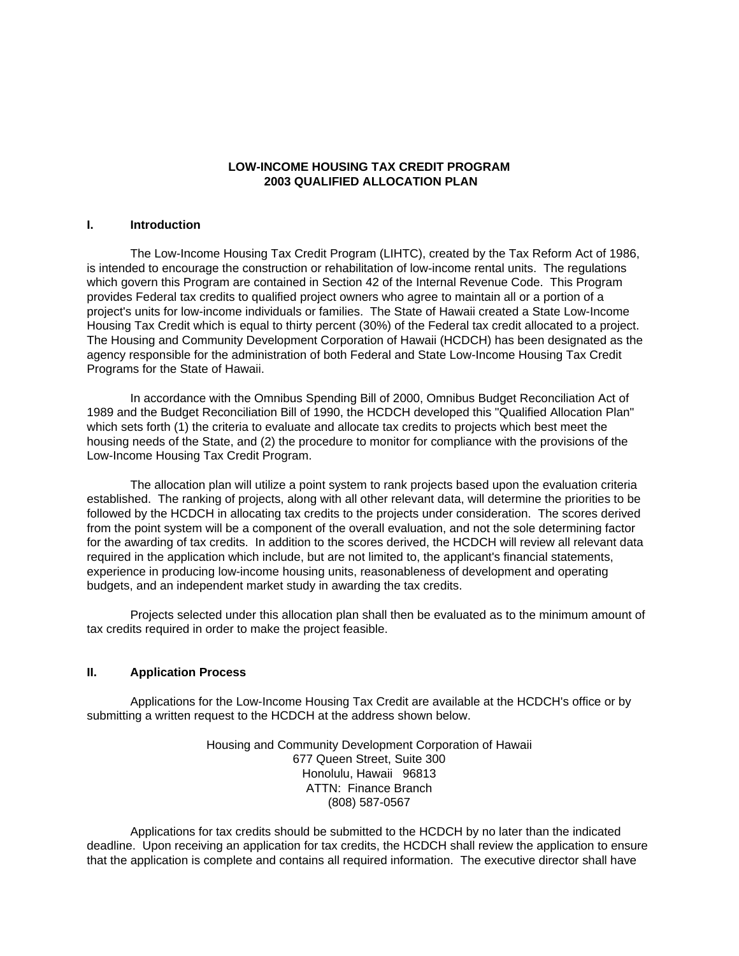### **LOW-INCOME HOUSING TAX CREDIT PROGRAM 2003 QUALIFIED ALLOCATION PLAN**

#### **I. Introduction**

The Low-Income Housing Tax Credit Program (LIHTC), created by the Tax Reform Act of 1986, is intended to encourage the construction or rehabilitation of low-income rental units. The regulations which govern this Program are contained in Section 42 of the Internal Revenue Code. This Program provides Federal tax credits to qualified project owners who agree to maintain all or a portion of a project's units for low-income individuals or families. The State of Hawaii created a State Low-Income Housing Tax Credit which is equal to thirty percent (30%) of the Federal tax credit allocated to a project. The Housing and Community Development Corporation of Hawaii (HCDCH) has been designated as the agency responsible for the administration of both Federal and State Low-Income Housing Tax Credit Programs for the State of Hawaii.

In accordance with the Omnibus Spending Bill of 2000, Omnibus Budget Reconciliation Act of 1989 and the Budget Reconciliation Bill of 1990, the HCDCH developed this "Qualified Allocation Plan" which sets forth (1) the criteria to evaluate and allocate tax credits to projects which best meet the housing needs of the State, and (2) the procedure to monitor for compliance with the provisions of the Low-Income Housing Tax Credit Program.

The allocation plan will utilize a point system to rank projects based upon the evaluation criteria established. The ranking of projects, along with all other relevant data, will determine the priorities to be followed by the HCDCH in allocating tax credits to the projects under consideration. The scores derived from the point system will be a component of the overall evaluation, and not the sole determining factor for the awarding of tax credits. In addition to the scores derived, the HCDCH will review all relevant data required in the application which include, but are not limited to, the applicant's financial statements, experience in producing low-income housing units, reasonableness of development and operating budgets, and an independent market study in awarding the tax credits.

Projects selected under this allocation plan shall then be evaluated as to the minimum amount of tax credits required in order to make the project feasible.

### **II. Application Process**

Applications for the Low-Income Housing Tax Credit are available at the HCDCH's office or by submitting a written request to the HCDCH at the address shown below.

> Housing and Community Development Corporation of Hawaii 677 Queen Street, Suite 300 Honolulu, Hawaii 96813 ATTN: Finance Branch (808) 587-0567

Applications for tax credits should be submitted to the HCDCH by no later than the indicated deadline. Upon receiving an application for tax credits, the HCDCH shall review the application to ensure that the application is complete and contains all required information. The executive director shall have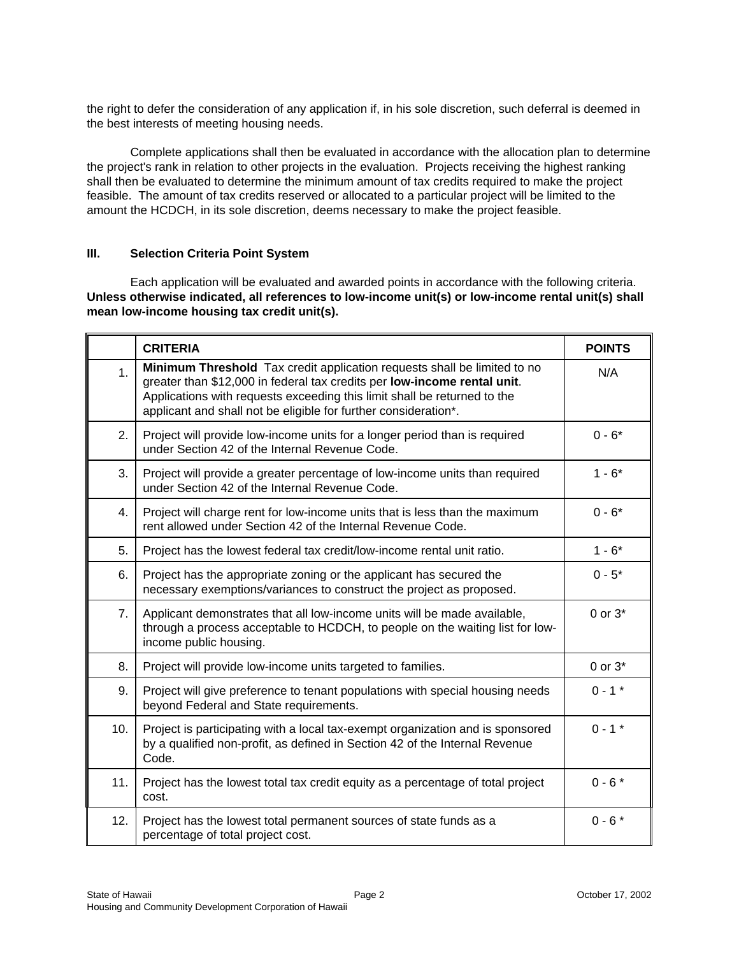the right to defer the consideration of any application if, in his sole discretion, such deferral is deemed in the best interests of meeting housing needs.

Complete applications shall then be evaluated in accordance with the allocation plan to determine the project's rank in relation to other projects in the evaluation. Projects receiving the highest ranking shall then be evaluated to determine the minimum amount of tax credits required to make the project feasible. The amount of tax credits reserved or allocated to a particular project will be limited to the amount the HCDCH, in its sole discretion, deems necessary to make the project feasible.

# **III. Selection Criteria Point System**

Each application will be evaluated and awarded points in accordance with the following criteria. **Unless otherwise indicated, all references to low-income unit(s) or low-income rental unit(s) shall mean low-income housing tax credit unit(s).**

|     | <b>CRITERIA</b>                                                                                                                                                                                                                                                                                     | <b>POINTS</b> |
|-----|-----------------------------------------------------------------------------------------------------------------------------------------------------------------------------------------------------------------------------------------------------------------------------------------------------|---------------|
| 1.  | Minimum Threshold Tax credit application requests shall be limited to no<br>greater than \$12,000 in federal tax credits per low-income rental unit.<br>Applications with requests exceeding this limit shall be returned to the<br>applicant and shall not be eligible for further consideration*. | N/A           |
| 2.  | Project will provide low-income units for a longer period than is required<br>under Section 42 of the Internal Revenue Code.                                                                                                                                                                        | $0 - 6*$      |
| 3.  | Project will provide a greater percentage of low-income units than required<br>under Section 42 of the Internal Revenue Code.                                                                                                                                                                       | $1 - 6*$      |
| 4.  | Project will charge rent for low-income units that is less than the maximum<br>rent allowed under Section 42 of the Internal Revenue Code.                                                                                                                                                          | $0 - 6*$      |
| 5.  | Project has the lowest federal tax credit/low-income rental unit ratio.                                                                                                                                                                                                                             | $1 - 6*$      |
| 6.  | Project has the appropriate zoning or the applicant has secured the<br>necessary exemptions/variances to construct the project as proposed.                                                                                                                                                         | $0 - 5*$      |
| 7.  | Applicant demonstrates that all low-income units will be made available,<br>through a process acceptable to HCDCH, to people on the waiting list for low-<br>income public housing.                                                                                                                 | $0$ or $3*$   |
| 8.  | Project will provide low-income units targeted to families.                                                                                                                                                                                                                                         | 0 or $3*$     |
| 9.  | Project will give preference to tenant populations with special housing needs<br>beyond Federal and State requirements.                                                                                                                                                                             | $0 - 1$ *     |
| 10. | Project is participating with a local tax-exempt organization and is sponsored<br>by a qualified non-profit, as defined in Section 42 of the Internal Revenue<br>Code.                                                                                                                              | $0 - 1$ *     |
| 11. | Project has the lowest total tax credit equity as a percentage of total project<br>cost.                                                                                                                                                                                                            | $0 - 6*$      |
| 12. | Project has the lowest total permanent sources of state funds as a<br>percentage of total project cost.                                                                                                                                                                                             | $0 - 6*$      |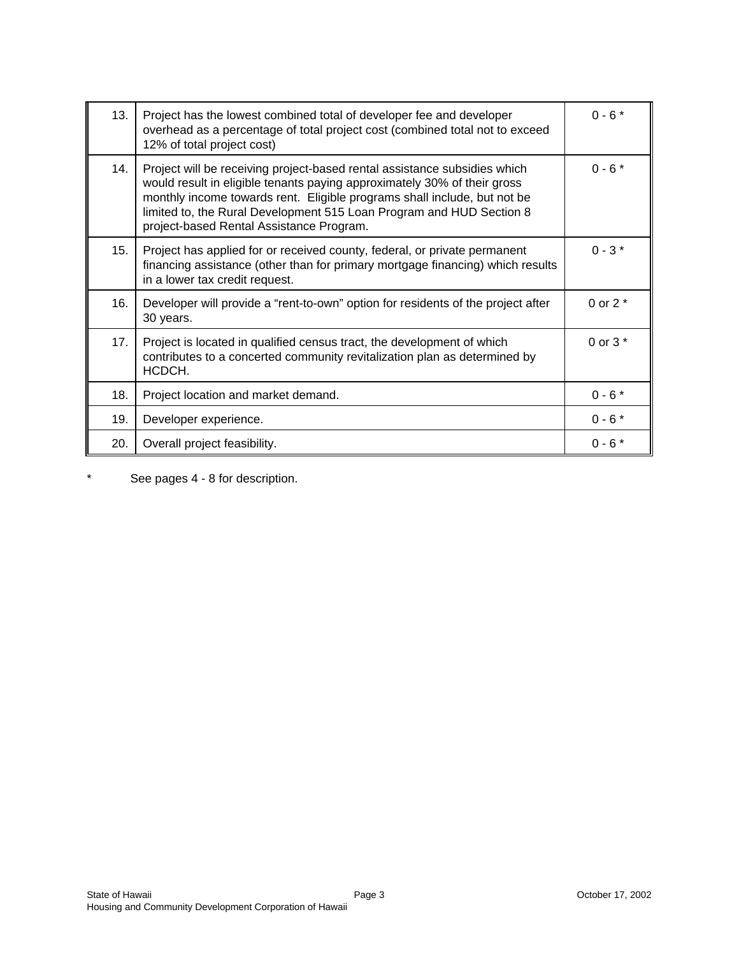| 13. | Project has the lowest combined total of developer fee and developer<br>overhead as a percentage of total project cost (combined total not to exceed<br>12% of total project cost)                                                                                                                                                                    | $0 - 6*$   |
|-----|-------------------------------------------------------------------------------------------------------------------------------------------------------------------------------------------------------------------------------------------------------------------------------------------------------------------------------------------------------|------------|
| 14. | Project will be receiving project-based rental assistance subsidies which<br>would result in eligible tenants paying approximately 30% of their gross<br>monthly income towards rent. Eligible programs shall include, but not be<br>limited to, the Rural Development 515 Loan Program and HUD Section 8<br>project-based Rental Assistance Program. | $0 - 6*$   |
| 15. | Project has applied for or received county, federal, or private permanent<br>financing assistance (other than for primary mortgage financing) which results<br>in a lower tax credit request.                                                                                                                                                         | $0 - 3*$   |
| 16. | Developer will provide a "rent-to-own" option for residents of the project after<br>30 years.                                                                                                                                                                                                                                                         | 0 or 2 $*$ |
| 17. | Project is located in qualified census tract, the development of which<br>contributes to a concerted community revitalization plan as determined by<br>HCDCH.                                                                                                                                                                                         | 0 or $3*$  |
| 18. | Project location and market demand.                                                                                                                                                                                                                                                                                                                   | $0 - 6*$   |
| 19. | Developer experience.                                                                                                                                                                                                                                                                                                                                 | $0 - 6*$   |
| 20. | Overall project feasibility.                                                                                                                                                                                                                                                                                                                          | $0 - 6*$   |

\* See pages 4 - 8 for description.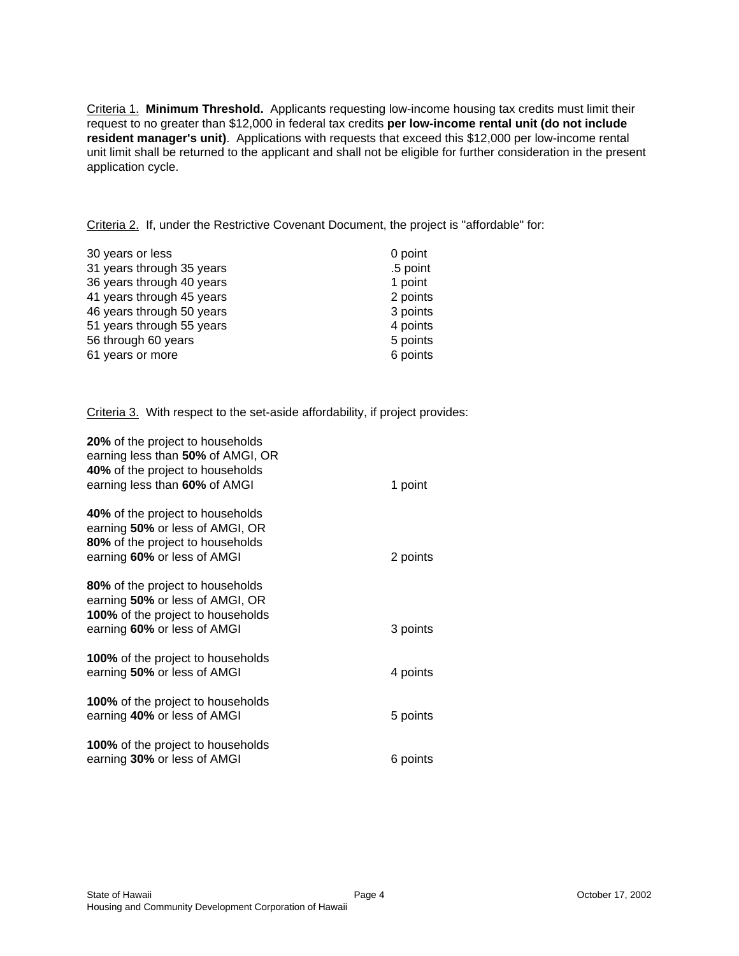Criteria 1. **Minimum Threshold.** Applicants requesting low-income housing tax credits must limit their request to no greater than \$12,000 in federal tax credits **per low-income rental unit (do not include resident manager's unit)**. Applications with requests that exceed this \$12,000 per low-income rental unit limit shall be returned to the applicant and shall not be eligible for further consideration in the present application cycle.

Criteria 2. If, under the Restrictive Covenant Document, the project is "affordable" for:

| 0 point  |
|----------|
| .5 point |
| 1 point  |
| 2 points |
| 3 points |
| 4 points |
| 5 points |
| 6 points |
|          |

Criteria 3. With respect to the set-aside affordability, if project provides:

| 20% of the project to households<br>earning less than 50% of AMGI, OR<br>40% of the project to households<br>earning less than 60% of AMGI | 1 point  |
|--------------------------------------------------------------------------------------------------------------------------------------------|----------|
| 40% of the project to households<br>earning 50% or less of AMGI, OR<br>80% of the project to households<br>earning 60% or less of AMGI     | 2 points |
| 80% of the project to households<br>earning 50% or less of AMGI, OR<br>100% of the project to households<br>earning 60% or less of AMGI    | 3 points |
| 100% of the project to households<br>earning 50% or less of AMGI                                                                           | 4 points |
| 100% of the project to households<br>earning 40% or less of AMGI                                                                           | 5 points |
| 100% of the project to households<br>earning 30% or less of AMGI                                                                           | 6 points |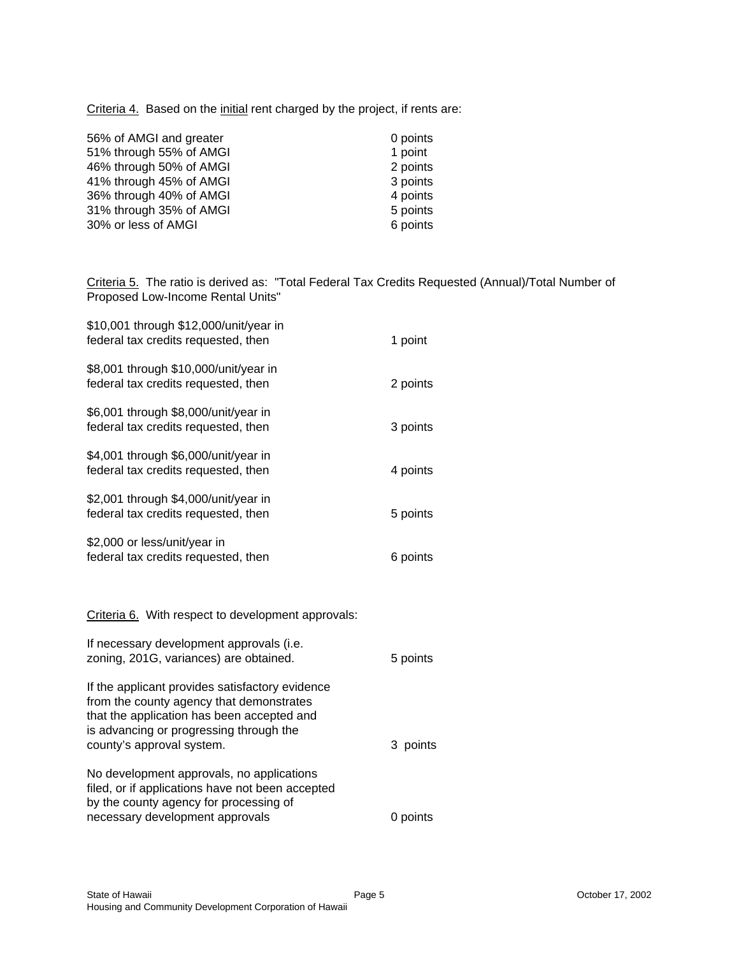Criteria 4. Based on the initial rent charged by the project, if rents are:

| 0 points |
|----------|
| 1 point  |
| 2 points |
| 3 points |
| 4 points |
| 5 points |
| 6 points |
|          |

Criteria 5. The ratio is derived as: "Total Federal Tax Credits Requested (Annual)/Total Number of Proposed Low-Income Rental Units"

| \$10,001 through \$12,000/unit/year in<br>federal tax credits requested, then                                                                                                                                     | 1 point  |
|-------------------------------------------------------------------------------------------------------------------------------------------------------------------------------------------------------------------|----------|
| \$8,001 through \$10,000/unit/year in<br>federal tax credits requested, then                                                                                                                                      | 2 points |
| \$6,001 through \$8,000/unit/year in<br>federal tax credits requested, then                                                                                                                                       | 3 points |
| \$4,001 through \$6,000/unit/year in<br>federal tax credits requested, then                                                                                                                                       | 4 points |
| \$2,001 through \$4,000/unit/year in<br>federal tax credits requested, then                                                                                                                                       | 5 points |
| \$2,000 or less/unit/year in<br>federal tax credits requested, then                                                                                                                                               | 6 points |
| Criteria 6. With respect to development approvals:                                                                                                                                                                |          |
| If necessary development approvals (i.e.<br>zoning, 201G, variances) are obtained.                                                                                                                                | 5 points |
| If the applicant provides satisfactory evidence<br>from the county agency that demonstrates<br>that the application has been accepted and<br>is advancing or progressing through the<br>county's approval system. | 3 points |
| No development approvals, no applications<br>filed, or if applications have not been accepted<br>by the county agency for processing of<br>necessary development approvals                                        | 0 points |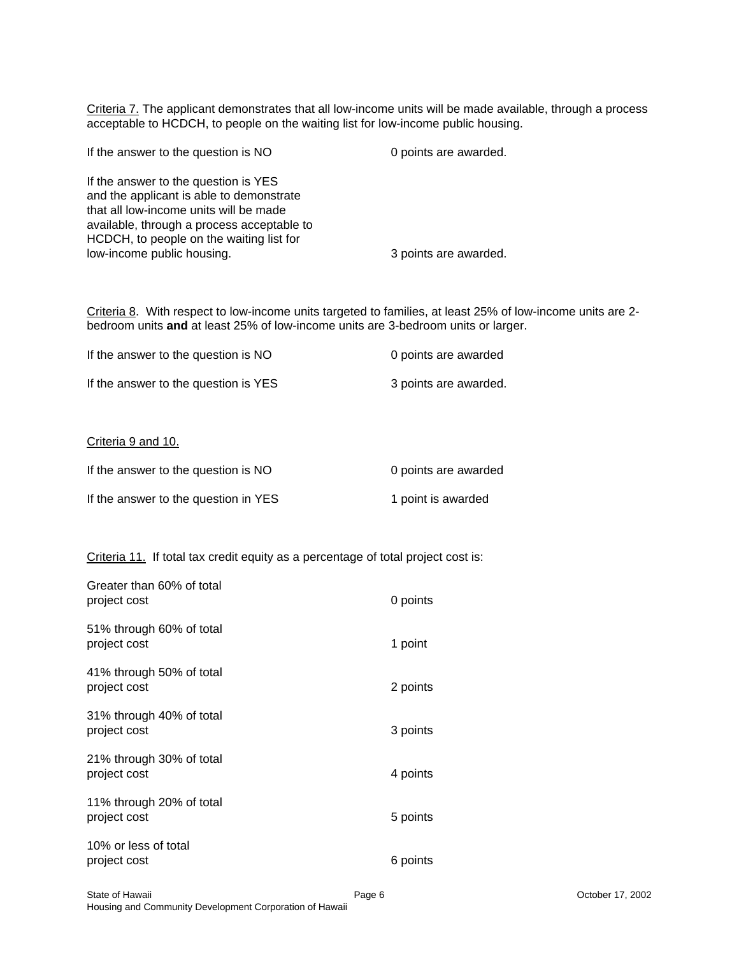Criteria 7. The applicant demonstrates that all low-income units will be made available, through a process acceptable to HCDCH, to people on the waiting list for low-income public housing.

| If the answer to the question is NO                                                                                                                                                                                                                | 0 points are awarded. |
|----------------------------------------------------------------------------------------------------------------------------------------------------------------------------------------------------------------------------------------------------|-----------------------|
| If the answer to the question is YES<br>and the applicant is able to demonstrate<br>that all low-income units will be made<br>available, through a process acceptable to<br>HCDCH, to people on the waiting list for<br>low-income public housing. | 3 points are awarded. |

Criteria 8. With respect to low-income units targeted to families, at least 25% of low-income units are 2 bedroom units **and** at least 25% of low-income units are 3-bedroom units or larger.

| If the answer to the question is NO  | 0 points are awarded  |
|--------------------------------------|-----------------------|
| If the answer to the question is YES | 3 points are awarded. |

#### Criteria 9 and 10.

| If the answer to the question is NO  | 0 points are awarded |
|--------------------------------------|----------------------|
| If the answer to the question in YES | 1 point is awarded   |

Criteria 11. If total tax credit equity as a percentage of total project cost is:

| Greater than 60% of total<br>project cost | 0 points |
|-------------------------------------------|----------|
| 51% through 60% of total<br>project cost  | 1 point  |
| 41% through 50% of total<br>project cost  | 2 points |
| 31% through 40% of total<br>project cost  | 3 points |
| 21% through 30% of total<br>project cost  | 4 points |
| 11% through 20% of total<br>project cost  | 5 points |
| 10% or less of total<br>project cost      | 6 points |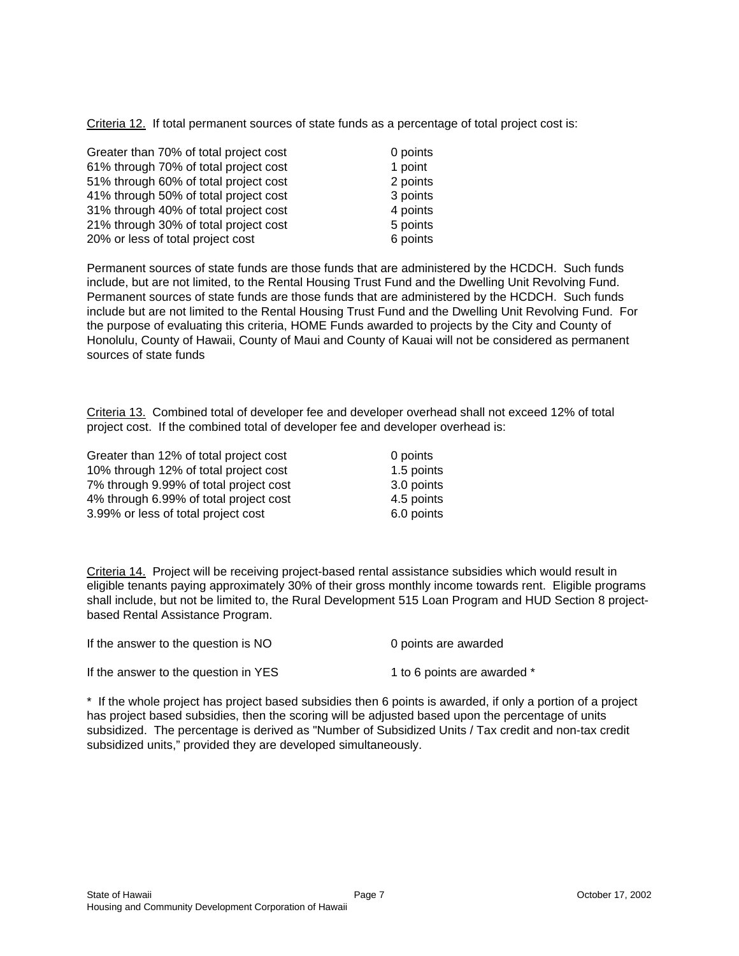Criteria 12. If total permanent sources of state funds as a percentage of total project cost is:

| Greater than 70% of total project cost | 0 points |
|----------------------------------------|----------|
| 61% through 70% of total project cost  | 1 point  |
| 51% through 60% of total project cost  | 2 points |
| 41% through 50% of total project cost  | 3 points |
| 31% through 40% of total project cost  | 4 points |
| 21% through 30% of total project cost  | 5 points |
| 20% or less of total project cost      | 6 points |

Permanent sources of state funds are those funds that are administered by the HCDCH. Such funds include, but are not limited, to the Rental Housing Trust Fund and the Dwelling Unit Revolving Fund. Permanent sources of state funds are those funds that are administered by the HCDCH. Such funds include but are not limited to the Rental Housing Trust Fund and the Dwelling Unit Revolving Fund. For the purpose of evaluating this criteria, HOME Funds awarded to projects by the City and County of Honolulu, County of Hawaii, County of Maui and County of Kauai will not be considered as permanent sources of state funds

Criteria 13. Combined total of developer fee and developer overhead shall not exceed 12% of total project cost. If the combined total of developer fee and developer overhead is:

| Greater than 12% of total project cost | 0 points   |
|----------------------------------------|------------|
| 10% through 12% of total project cost  | 1.5 points |
| 7% through 9.99% of total project cost | 3.0 points |
| 4% through 6.99% of total project cost | 4.5 points |
| 3.99% or less of total project cost    | 6.0 points |

Criteria 14. Project will be receiving project-based rental assistance subsidies which would result in eligible tenants paying approximately 30% of their gross monthly income towards rent. Eligible programs shall include, but not be limited to, the Rural Development 515 Loan Program and HUD Section 8 projectbased Rental Assistance Program.

| If the answer to the question is NO  | 0 points are awarded        |
|--------------------------------------|-----------------------------|
| If the answer to the question in YES | 1 to 6 points are awarded * |

\* If the whole project has project based subsidies then 6 points is awarded, if only a portion of a project has project based subsidies, then the scoring will be adjusted based upon the percentage of units subsidized. The percentage is derived as "Number of Subsidized Units / Tax credit and non-tax credit subsidized units," provided they are developed simultaneously.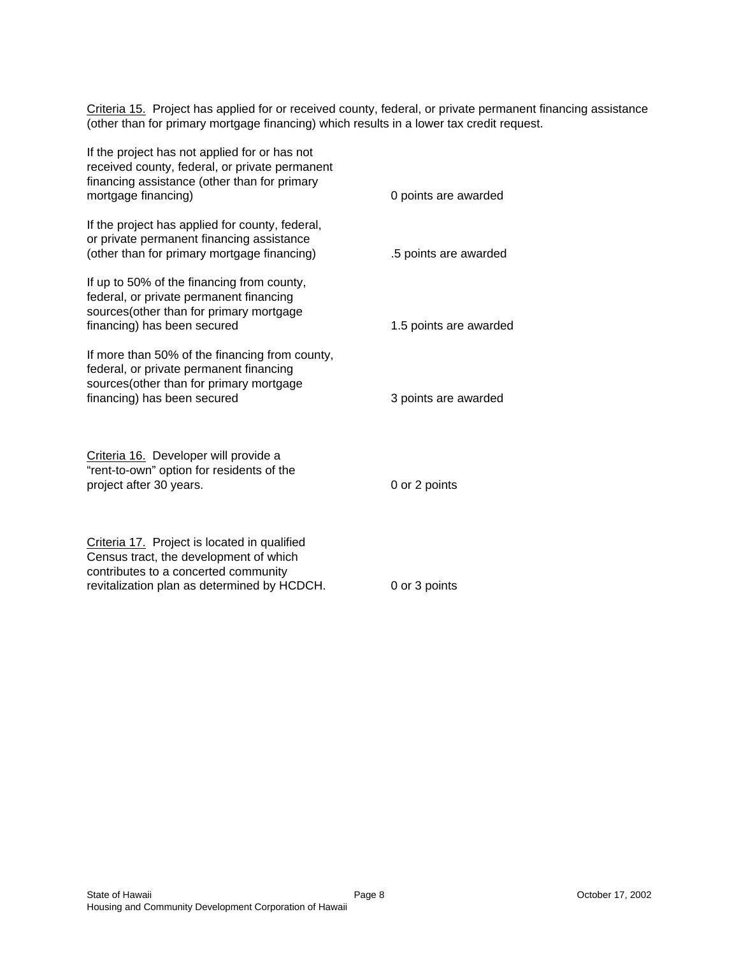Criteria 15. Project has applied for or received county, federal, or private permanent financing assistance (other than for primary mortgage financing) which results in a lower tax credit request.

| If the project has not applied for or has not<br>received county, federal, or private permanent<br>financing assistance (other than for primary<br>mortgage financing)        | 0 points are awarded   |
|-------------------------------------------------------------------------------------------------------------------------------------------------------------------------------|------------------------|
| If the project has applied for county, federal,<br>or private permanent financing assistance<br>(other than for primary mortgage financing)                                   | .5 points are awarded  |
| If up to 50% of the financing from county,<br>federal, or private permanent financing<br>sources(other than for primary mortgage<br>financing) has been secured               | 1.5 points are awarded |
| If more than 50% of the financing from county,<br>federal, or private permanent financing<br>sources(other than for primary mortgage<br>financing) has been secured           | 3 points are awarded   |
| Criteria 16. Developer will provide a<br>"rent-to-own" option for residents of the<br>project after 30 years.                                                                 | 0 or 2 points          |
| Criteria 17. Project is located in qualified<br>Census tract, the development of which<br>contributes to a concerted community<br>revitalization plan as determined by HCDCH. | 0 or 3 points          |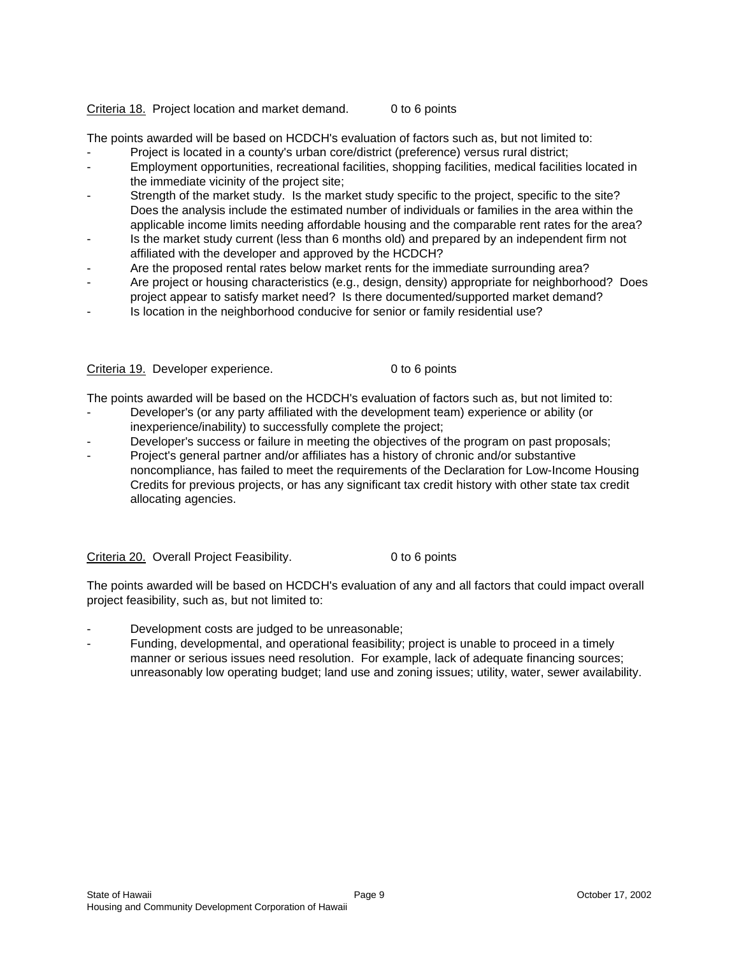## Criteria 18. Project location and market demand. 0 to 6 points

The points awarded will be based on HCDCH's evaluation of factors such as, but not limited to:

- Project is located in a county's urban core/district (preference) versus rural district;
- Employment opportunities, recreational facilities, shopping facilities, medical facilities located in the immediate vicinity of the project site;
- Strength of the market study. Is the market study specific to the project, specific to the site? Does the analysis include the estimated number of individuals or families in the area within the applicable income limits needing affordable housing and the comparable rent rates for the area?
- Is the market study current (less than 6 months old) and prepared by an independent firm not affiliated with the developer and approved by the HCDCH?
- Are the proposed rental rates below market rents for the immediate surrounding area?
- Are project or housing characteristics (e.g., design, density) appropriate for neighborhood? Does project appear to satisfy market need? Is there documented/supported market demand?
- Is location in the neighborhood conducive for senior or family residential use?

Criteria 19. Developer experience. 0 to 6 points

The points awarded will be based on the HCDCH's evaluation of factors such as, but not limited to:

- Developer's (or any party affiliated with the development team) experience or ability (or inexperience/inability) to successfully complete the project;
- Developer's success or failure in meeting the objectives of the program on past proposals;
- Project's general partner and/or affiliates has a history of chronic and/or substantive noncompliance, has failed to meet the requirements of the Declaration for Low-Income Housing Credits for previous projects, or has any significant tax credit history with other state tax credit allocating agencies.

Criteria 20. Overall Project Feasibility. 0 to 6 points

The points awarded will be based on HCDCH's evaluation of any and all factors that could impact overall project feasibility, such as, but not limited to:

- Development costs are judged to be unreasonable;
- Funding, developmental, and operational feasibility; project is unable to proceed in a timely manner or serious issues need resolution. For example, lack of adequate financing sources; unreasonably low operating budget; land use and zoning issues; utility, water, sewer availability.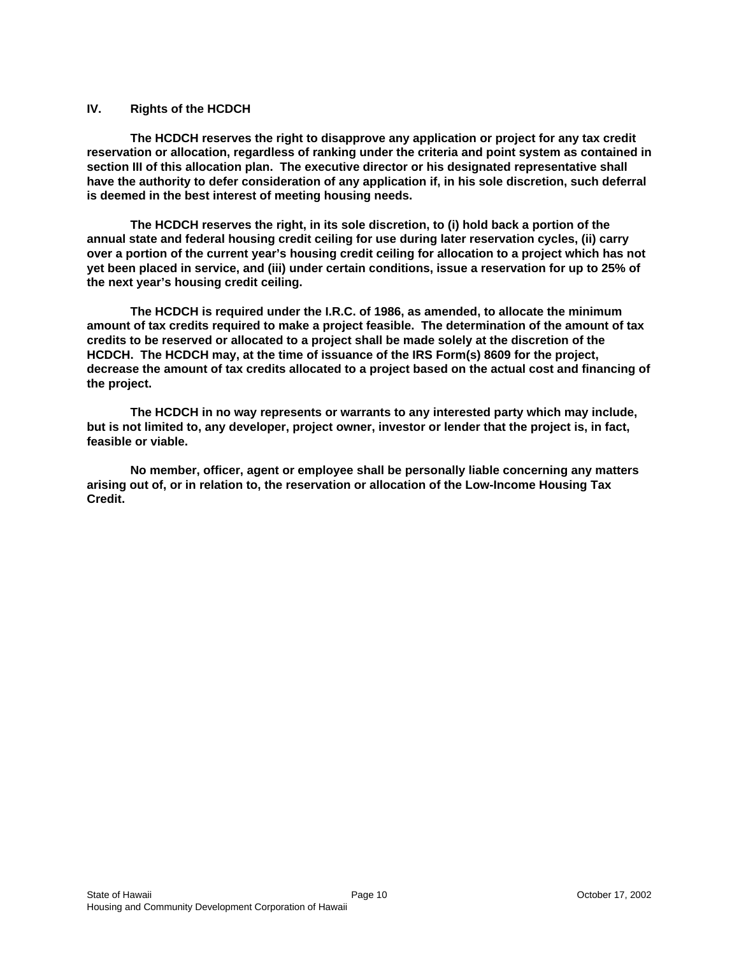### **IV. Rights of the HCDCH**

**The HCDCH reserves the right to disapprove any application or project for any tax credit reservation or allocation, regardless of ranking under the criteria and point system as contained in section III of this allocation plan. The executive director or his designated representative shall have the authority to defer consideration of any application if, in his sole discretion, such deferral is deemed in the best interest of meeting housing needs.** 

**The HCDCH reserves the right, in its sole discretion, to (i) hold back a portion of the annual state and federal housing credit ceiling for use during later reservation cycles, (ii) carry over a portion of the current year's housing credit ceiling for allocation to a project which has not yet been placed in service, and (iii) under certain conditions, issue a reservation for up to 25% of the next year's housing credit ceiling.**

**The HCDCH is required under the I.R.C. of 1986, as amended, to allocate the minimum amount of tax credits required to make a project feasible. The determination of the amount of tax credits to be reserved or allocated to a project shall be made solely at the discretion of the HCDCH. The HCDCH may, at the time of issuance of the IRS Form(s) 8609 for the project, decrease the amount of tax credits allocated to a project based on the actual cost and financing of the project.**

**The HCDCH in no way represents or warrants to any interested party which may include, but is not limited to, any developer, project owner, investor or lender that the project is, in fact, feasible or viable.**

**No member, officer, agent or employee shall be personally liable concerning any matters arising out of, or in relation to, the reservation or allocation of the Low-Income Housing Tax Credit.**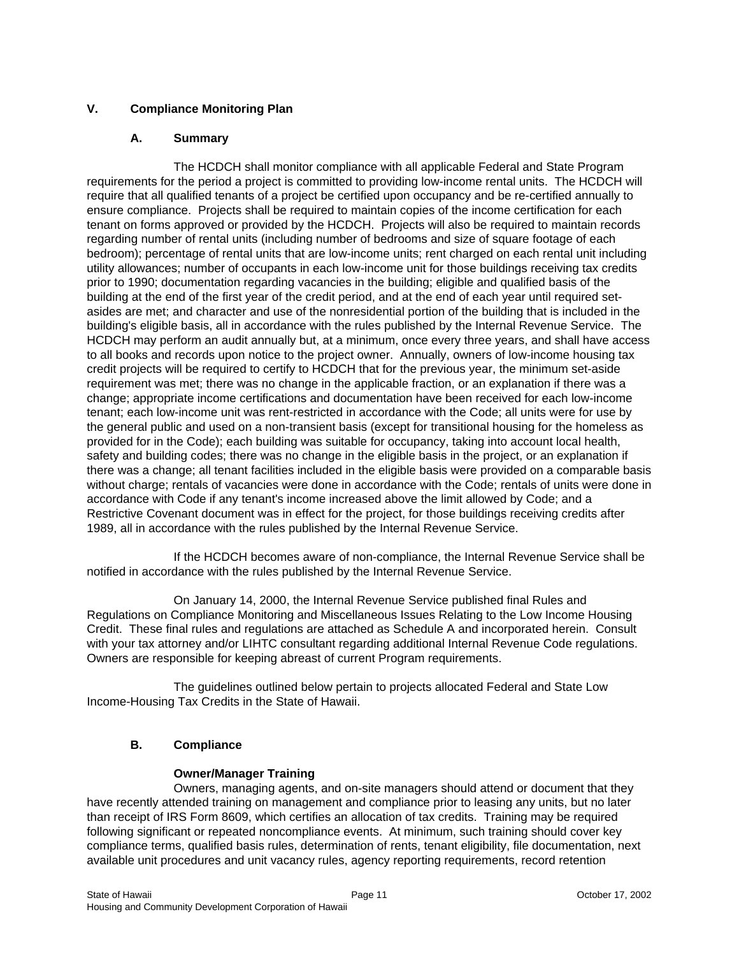# **V. Compliance Monitoring Plan**

## **A. Summary**

The HCDCH shall monitor compliance with all applicable Federal and State Program requirements for the period a project is committed to providing low-income rental units. The HCDCH will require that all qualified tenants of a project be certified upon occupancy and be re-certified annually to ensure compliance. Projects shall be required to maintain copies of the income certification for each tenant on forms approved or provided by the HCDCH. Projects will also be required to maintain records regarding number of rental units (including number of bedrooms and size of square footage of each bedroom); percentage of rental units that are low-income units; rent charged on each rental unit including utility allowances; number of occupants in each low-income unit for those buildings receiving tax credits prior to 1990; documentation regarding vacancies in the building; eligible and qualified basis of the building at the end of the first year of the credit period, and at the end of each year until required setasides are met; and character and use of the nonresidential portion of the building that is included in the building's eligible basis, all in accordance with the rules published by the Internal Revenue Service. The HCDCH may perform an audit annually but, at a minimum, once every three years, and shall have access to all books and records upon notice to the project owner. Annually, owners of low-income housing tax credit projects will be required to certify to HCDCH that for the previous year, the minimum set-aside requirement was met; there was no change in the applicable fraction, or an explanation if there was a change; appropriate income certifications and documentation have been received for each low-income tenant; each low-income unit was rent-restricted in accordance with the Code; all units were for use by the general public and used on a non-transient basis (except for transitional housing for the homeless as provided for in the Code); each building was suitable for occupancy, taking into account local health, safety and building codes; there was no change in the eligible basis in the project, or an explanation if there was a change; all tenant facilities included in the eligible basis were provided on a comparable basis without charge; rentals of vacancies were done in accordance with the Code; rentals of units were done in accordance with Code if any tenant's income increased above the limit allowed by Code; and a Restrictive Covenant document was in effect for the project, for those buildings receiving credits after 1989, all in accordance with the rules published by the Internal Revenue Service.

If the HCDCH becomes aware of non-compliance, the Internal Revenue Service shall be notified in accordance with the rules published by the Internal Revenue Service.

On January 14, 2000, the Internal Revenue Service published final Rules and Regulations on Compliance Monitoring and Miscellaneous Issues Relating to the Low Income Housing Credit. These final rules and regulations are attached as Schedule A and incorporated herein. Consult with your tax attorney and/or LIHTC consultant regarding additional Internal Revenue Code regulations. Owners are responsible for keeping abreast of current Program requirements.

The guidelines outlined below pertain to projects allocated Federal and State Low Income-Housing Tax Credits in the State of Hawaii.

# **B. Compliance**

# **Owner/Manager Training**

Owners, managing agents, and on-site managers should attend or document that they have recently attended training on management and compliance prior to leasing any units, but no later than receipt of IRS Form 8609, which certifies an allocation of tax credits. Training may be required following significant or repeated noncompliance events. At minimum, such training should cover key compliance terms, qualified basis rules, determination of rents, tenant eligibility, file documentation, next available unit procedures and unit vacancy rules, agency reporting requirements, record retention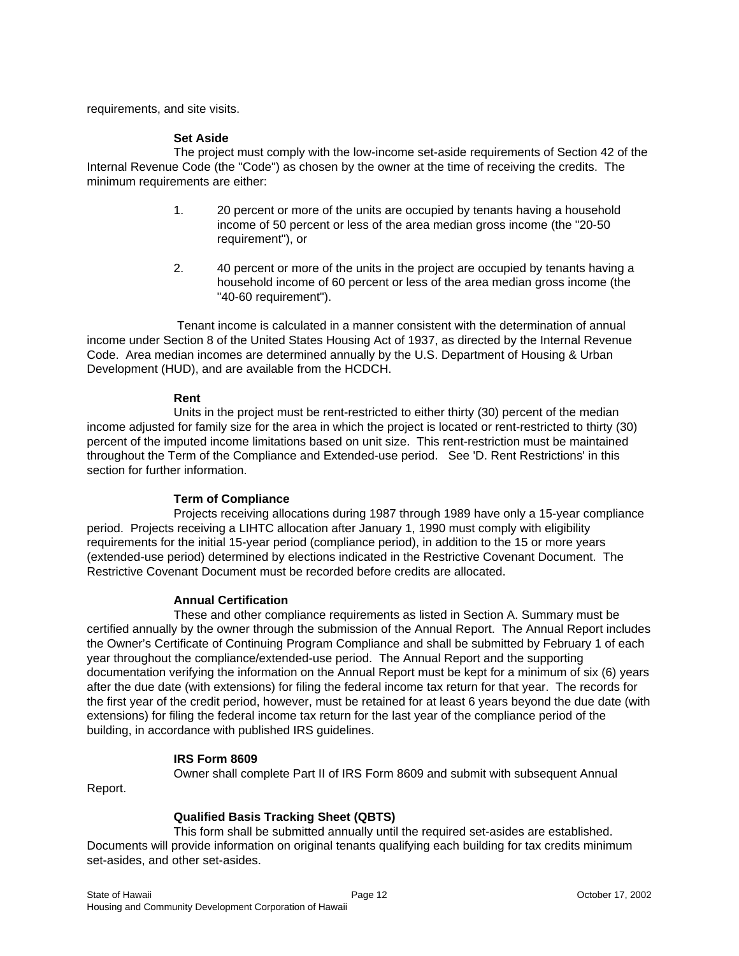requirements, and site visits.

### **Set Aside**

The project must comply with the low-income set-aside requirements of Section 42 of the Internal Revenue Code (the "Code") as chosen by the owner at the time of receiving the credits. The minimum requirements are either:

- 1. 20 percent or more of the units are occupied by tenants having a household income of 50 percent or less of the area median gross income (the "20-50 requirement"), or
- 2. 40 percent or more of the units in the project are occupied by tenants having a household income of 60 percent or less of the area median gross income (the "40-60 requirement").

 Tenant income is calculated in a manner consistent with the determination of annual income under Section 8 of the United States Housing Act of 1937, as directed by the Internal Revenue Code. Area median incomes are determined annually by the U.S. Department of Housing & Urban Development (HUD), and are available from the HCDCH.

### **Rent**

Units in the project must be rent-restricted to either thirty (30) percent of the median income adjusted for family size for the area in which the project is located or rent-restricted to thirty (30) percent of the imputed income limitations based on unit size. This rent-restriction must be maintained throughout the Term of the Compliance and Extended-use period. See 'D. Rent Restrictions' in this section for further information.

# **Term of Compliance**

Projects receiving allocations during 1987 through 1989 have only a 15-year compliance period. Projects receiving a LIHTC allocation after January 1, 1990 must comply with eligibility requirements for the initial 15-year period (compliance period), in addition to the 15 or more years (extended-use period) determined by elections indicated in the Restrictive Covenant Document. The Restrictive Covenant Document must be recorded before credits are allocated.

### **Annual Certification**

These and other compliance requirements as listed in Section A. Summary must be certified annually by the owner through the submission of the Annual Report. The Annual Report includes the Owner's Certificate of Continuing Program Compliance and shall be submitted by February 1 of each year throughout the compliance/extended-use period. The Annual Report and the supporting documentation verifying the information on the Annual Report must be kept for a minimum of six (6) years after the due date (with extensions) for filing the federal income tax return for that year. The records for the first year of the credit period, however, must be retained for at least 6 years beyond the due date (with extensions) for filing the federal income tax return for the last year of the compliance period of the building, in accordance with published IRS guidelines.

# **IRS Form 8609**

Owner shall complete Part II of IRS Form 8609 and submit with subsequent Annual

Report.

# **Qualified Basis Tracking Sheet (QBTS)**

This form shall be submitted annually until the required set-asides are established. Documents will provide information on original tenants qualifying each building for tax credits minimum set-asides, and other set-asides.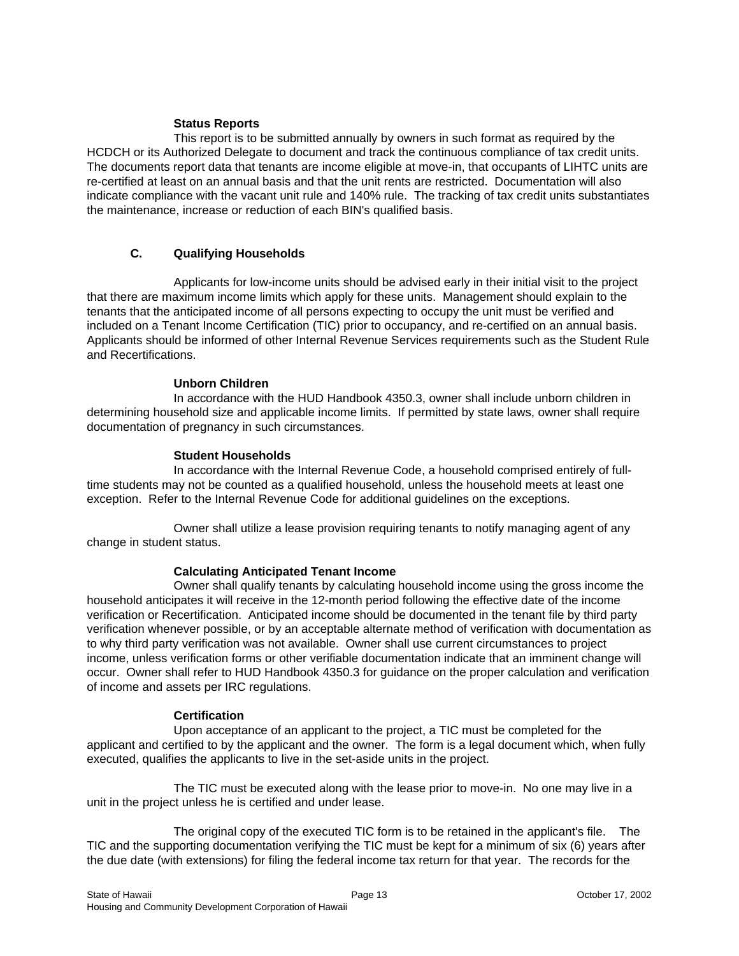# **Status Reports**

This report is to be submitted annually by owners in such format as required by the HCDCH or its Authorized Delegate to document and track the continuous compliance of tax credit units. The documents report data that tenants are income eligible at move-in, that occupants of LIHTC units are re-certified at least on an annual basis and that the unit rents are restricted. Documentation will also indicate compliance with the vacant unit rule and 140% rule. The tracking of tax credit units substantiates the maintenance, increase or reduction of each BIN's qualified basis.

# **C. Qualifying Households**

Applicants for low-income units should be advised early in their initial visit to the project that there are maximum income limits which apply for these units. Management should explain to the tenants that the anticipated income of all persons expecting to occupy the unit must be verified and included on a Tenant Income Certification (TIC) prior to occupancy, and re-certified on an annual basis. Applicants should be informed of other Internal Revenue Services requirements such as the Student Rule and Recertifications.

# **Unborn Children**

In accordance with the HUD Handbook 4350.3, owner shall include unborn children in determining household size and applicable income limits. If permitted by state laws, owner shall require documentation of pregnancy in such circumstances.

# **Student Households**

In accordance with the Internal Revenue Code, a household comprised entirely of fulltime students may not be counted as a qualified household, unless the household meets at least one exception. Refer to the Internal Revenue Code for additional guidelines on the exceptions.

Owner shall utilize a lease provision requiring tenants to notify managing agent of any change in student status.

# **Calculating Anticipated Tenant Income**

Owner shall qualify tenants by calculating household income using the gross income the household anticipates it will receive in the 12-month period following the effective date of the income verification or Recertification. Anticipated income should be documented in the tenant file by third party verification whenever possible, or by an acceptable alternate method of verification with documentation as to why third party verification was not available. Owner shall use current circumstances to project income, unless verification forms or other verifiable documentation indicate that an imminent change will occur. Owner shall refer to HUD Handbook 4350.3 for guidance on the proper calculation and verification of income and assets per IRC regulations.

# **Certification**

Upon acceptance of an applicant to the project, a TIC must be completed for the applicant and certified to by the applicant and the owner. The form is a legal document which, when fully executed, qualifies the applicants to live in the set-aside units in the project.

The TIC must be executed along with the lease prior to move-in. No one may live in a unit in the project unless he is certified and under lease.

The original copy of the executed TIC form is to be retained in the applicant's file. The TIC and the supporting documentation verifying the TIC must be kept for a minimum of six (6) years after the due date (with extensions) for filing the federal income tax return for that year. The records for the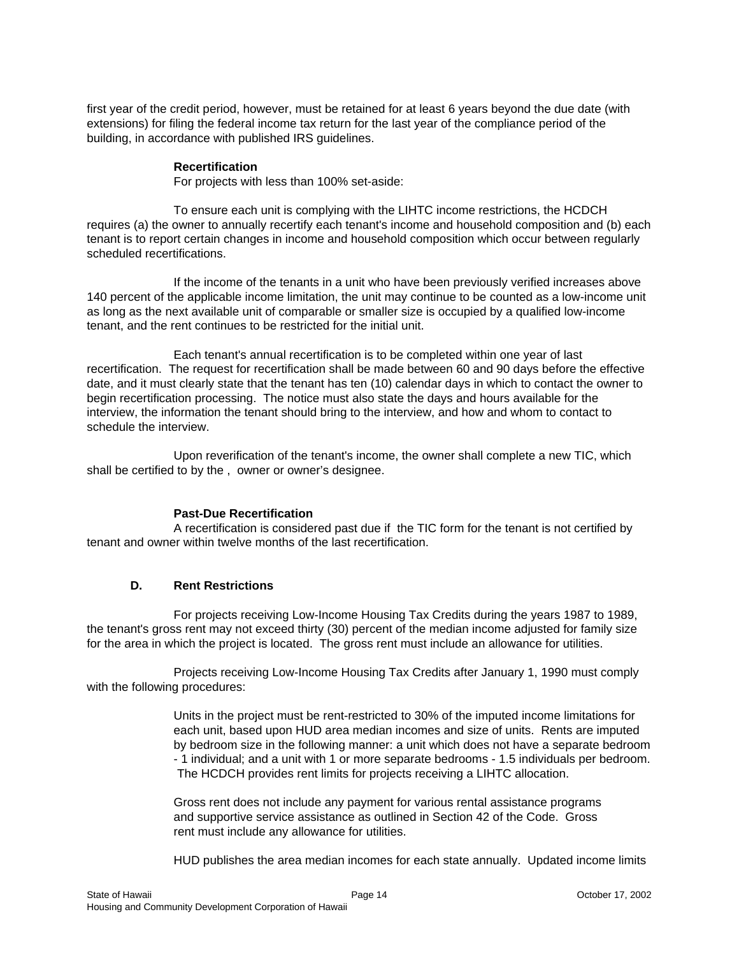first year of the credit period, however, must be retained for at least 6 years beyond the due date (with extensions) for filing the federal income tax return for the last year of the compliance period of the building, in accordance with published IRS guidelines.

## **Recertification**

For projects with less than 100% set-aside:

To ensure each unit is complying with the LIHTC income restrictions, the HCDCH requires (a) the owner to annually recertify each tenant's income and household composition and (b) each tenant is to report certain changes in income and household composition which occur between regularly scheduled recertifications.

If the income of the tenants in a unit who have been previously verified increases above 140 percent of the applicable income limitation, the unit may continue to be counted as a low-income unit as long as the next available unit of comparable or smaller size is occupied by a qualified low-income tenant, and the rent continues to be restricted for the initial unit.

Each tenant's annual recertification is to be completed within one year of last recertification. The request for recertification shall be made between 60 and 90 days before the effective date, and it must clearly state that the tenant has ten (10) calendar days in which to contact the owner to begin recertification processing. The notice must also state the days and hours available for the interview, the information the tenant should bring to the interview, and how and whom to contact to schedule the interview.

Upon reverification of the tenant's income, the owner shall complete a new TIC, which shall be certified to by the , owner or owner's designee.

# **Past-Due Recertification**

A recertification is considered past due if the TIC form for the tenant is not certified by tenant and owner within twelve months of the last recertification.

# **D. Rent Restrictions**

For projects receiving Low-Income Housing Tax Credits during the years 1987 to 1989, the tenant's gross rent may not exceed thirty (30) percent of the median income adjusted for family size for the area in which the project is located. The gross rent must include an allowance for utilities.

Projects receiving Low-Income Housing Tax Credits after January 1, 1990 must comply with the following procedures:

> Units in the project must be rent-restricted to 30% of the imputed income limitations for each unit, based upon HUD area median incomes and size of units. Rents are imputed by bedroom size in the following manner: a unit which does not have a separate bedroom - 1 individual; and a unit with 1 or more separate bedrooms - 1.5 individuals per bedroom. The HCDCH provides rent limits for projects receiving a LIHTC allocation.

Gross rent does not include any payment for various rental assistance programs and supportive service assistance as outlined in Section 42 of the Code. Gross rent must include any allowance for utilities.

HUD publishes the area median incomes for each state annually. Updated income limits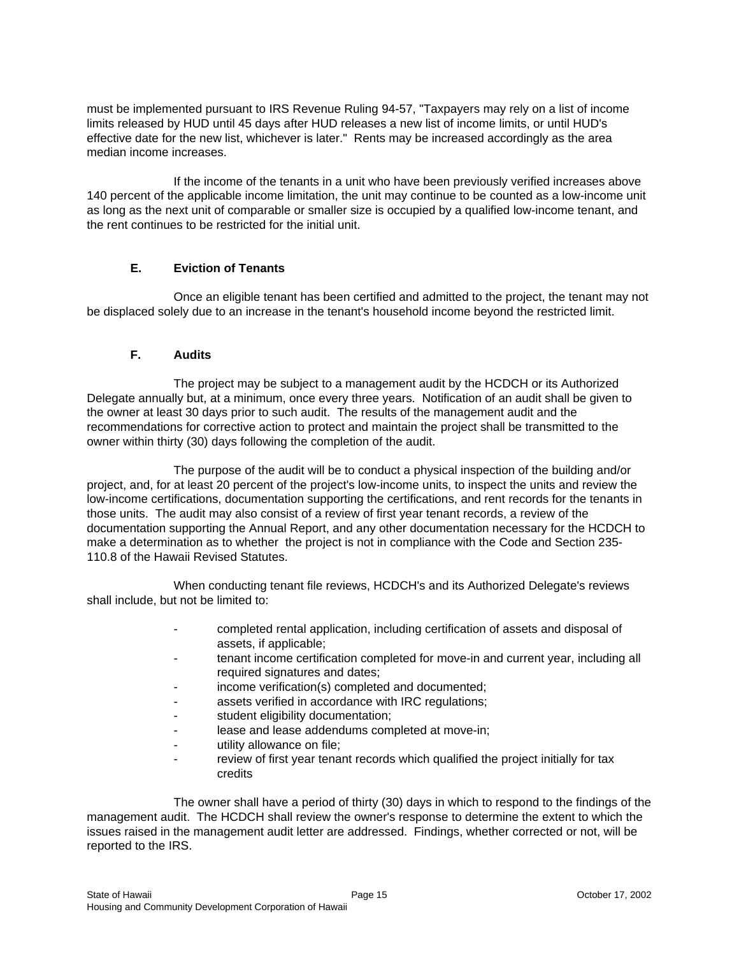must be implemented pursuant to IRS Revenue Ruling 94-57, "Taxpayers may rely on a list of income limits released by HUD until 45 days after HUD releases a new list of income limits, or until HUD's effective date for the new list, whichever is later." Rents may be increased accordingly as the area median income increases.

If the income of the tenants in a unit who have been previously verified increases above 140 percent of the applicable income limitation, the unit may continue to be counted as a low-income unit as long as the next unit of comparable or smaller size is occupied by a qualified low-income tenant, and the rent continues to be restricted for the initial unit.

# **E. Eviction of Tenants**

Once an eligible tenant has been certified and admitted to the project, the tenant may not be displaced solely due to an increase in the tenant's household income beyond the restricted limit.

# **F. Audits**

The project may be subject to a management audit by the HCDCH or its Authorized Delegate annually but, at a minimum, once every three years. Notification of an audit shall be given to the owner at least 30 days prior to such audit. The results of the management audit and the recommendations for corrective action to protect and maintain the project shall be transmitted to the owner within thirty (30) days following the completion of the audit.

The purpose of the audit will be to conduct a physical inspection of the building and/or project, and, for at least 20 percent of the project's low-income units, to inspect the units and review the low-income certifications, documentation supporting the certifications, and rent records for the tenants in those units. The audit may also consist of a review of first year tenant records, a review of the documentation supporting the Annual Report, and any other documentation necessary for the HCDCH to make a determination as to whether the project is not in compliance with the Code and Section 235- 110.8 of the Hawaii Revised Statutes.

When conducting tenant file reviews, HCDCH's and its Authorized Delegate's reviews shall include, but not be limited to:

- completed rental application, including certification of assets and disposal of assets, if applicable;
- tenant income certification completed for move-in and current year, including all required signatures and dates;
- income verification(s) completed and documented;
- assets verified in accordance with IRC regulations;
- student eligibility documentation;
- lease and lease addendums completed at move-in;
- utility allowance on file;
- review of first year tenant records which qualified the project initially for tax credits

The owner shall have a period of thirty (30) days in which to respond to the findings of the management audit. The HCDCH shall review the owner's response to determine the extent to which the issues raised in the management audit letter are addressed. Findings, whether corrected or not, will be reported to the IRS.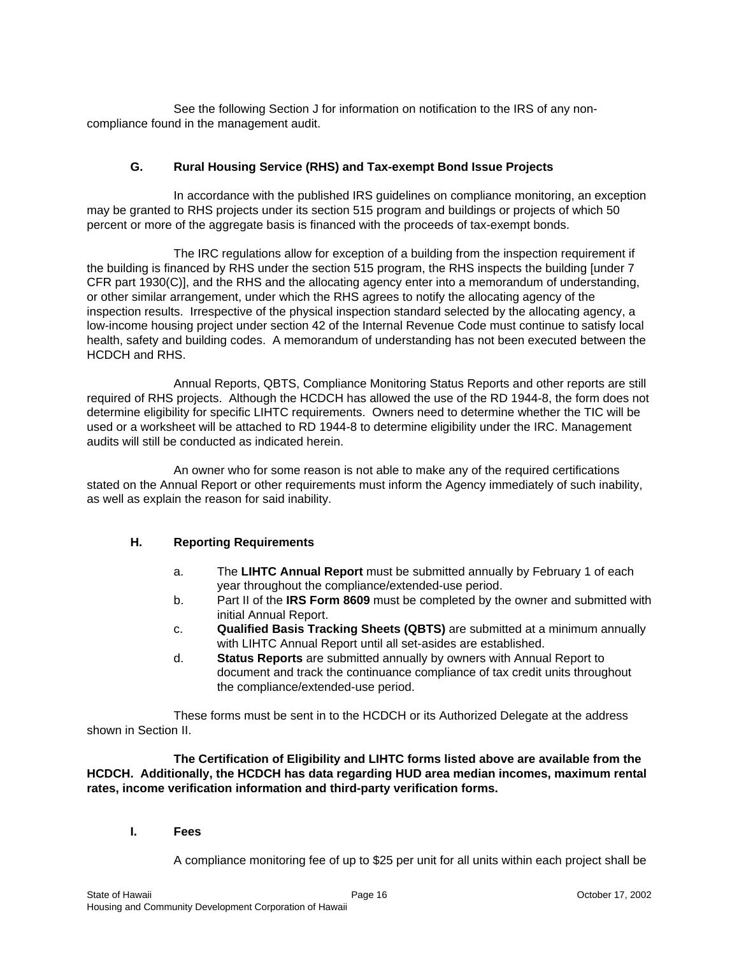See the following Section J for information on notification to the IRS of any noncompliance found in the management audit.

# **G. Rural Housing Service (RHS) and Tax-exempt Bond Issue Projects**

In accordance with the published IRS guidelines on compliance monitoring, an exception may be granted to RHS projects under its section 515 program and buildings or projects of which 50 percent or more of the aggregate basis is financed with the proceeds of tax-exempt bonds.

The IRC regulations allow for exception of a building from the inspection requirement if the building is financed by RHS under the section 515 program, the RHS inspects the building [under 7 CFR part 1930(C)], and the RHS and the allocating agency enter into a memorandum of understanding, or other similar arrangement, under which the RHS agrees to notify the allocating agency of the inspection results. Irrespective of the physical inspection standard selected by the allocating agency, a low-income housing project under section 42 of the Internal Revenue Code must continue to satisfy local health, safety and building codes. A memorandum of understanding has not been executed between the HCDCH and RHS.

Annual Reports, QBTS, Compliance Monitoring Status Reports and other reports are still required of RHS projects. Although the HCDCH has allowed the use of the RD 1944-8, the form does not determine eligibility for specific LIHTC requirements. Owners need to determine whether the TIC will be used or a worksheet will be attached to RD 1944-8 to determine eligibility under the IRC. Management audits will still be conducted as indicated herein.

An owner who for some reason is not able to make any of the required certifications stated on the Annual Report or other requirements must inform the Agency immediately of such inability, as well as explain the reason for said inability.

# **H. Reporting Requirements**

- a. The **LIHTC Annual Report** must be submitted annually by February 1 of each year throughout the compliance/extended-use period.
- b. Part II of the **IRS Form 8609** must be completed by the owner and submitted with initial Annual Report.
- c. **Qualified Basis Tracking Sheets (QBTS)** are submitted at a minimum annually with LIHTC Annual Report until all set-asides are established.
- d. **Status Reports** are submitted annually by owners with Annual Report to document and track the continuance compliance of tax credit units throughout the compliance/extended-use period.

These forms must be sent in to the HCDCH or its Authorized Delegate at the address shown in Section II.

**The Certification of Eligibility and LIHTC forms listed above are available from the HCDCH. Additionally, the HCDCH has data regarding HUD area median incomes, maximum rental rates, income verification information and third-party verification forms.** 

**I. Fees**

A compliance monitoring fee of up to \$25 per unit for all units within each project shall be